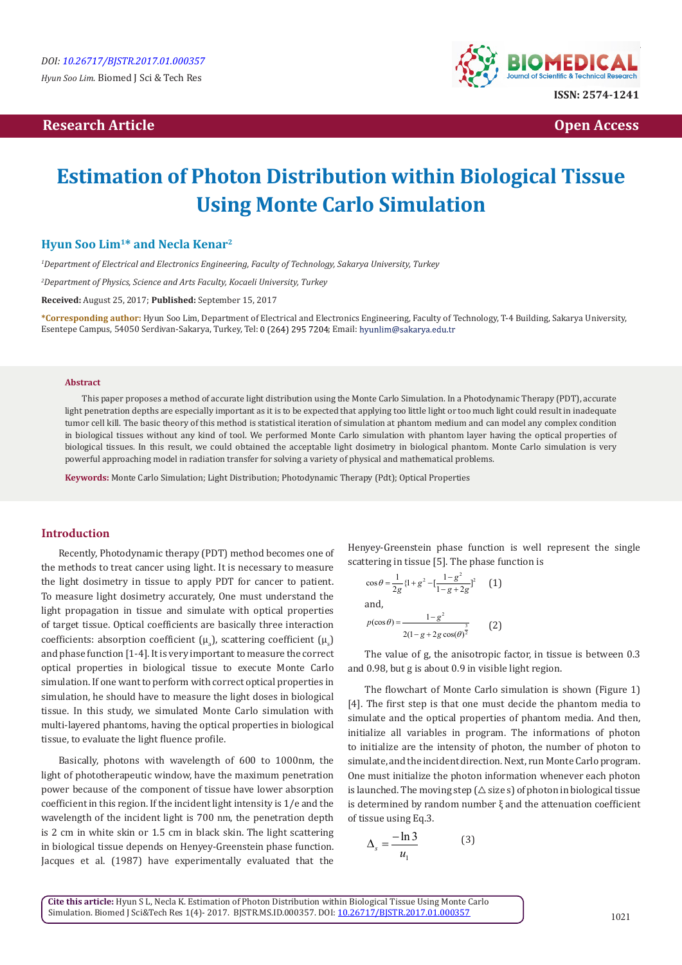#### **Research Article Open Access**



# **Estimation of Photon Distribution within Biological Tissue Using Monte Carlo Simulation**

### **Hyun Soo Lim1\* and Necla Kenar2**

*1 Department of Electrical and Electronics Engineering, Faculty of Technology, Sakarya University, Turkey*

*2 Department of Physics, Science and Arts Faculty, Kocaeli University, Turkey*

**Received:** August 25, 2017; **Published:** September 15, 2017

**\*Corresponding author:** Hyun Soo Lim, Department of Electrical and Electronics Engineering, Faculty of Technology, T-4 Building, Sakarya University, Esentepe Campus, 54050 Serdivan-Sakarya, Turkey, Tel: 0 (264) 295 7204; Email: hyunlim@sakarya.edu.tr

#### **Abstract**

This paper proposes a method of accurate light distribution using the Monte Carlo Simulation. In a Photodynamic Therapy (PDT), accurate light penetration depths are especially important as it is to be expected that applying too little light or too much light could result in inadequate tumor cell kill. The basic theory of this method is statistical iteration of simulation at phantom medium and can model any complex condition in biological tissues without any kind of tool. We performed Monte Carlo simulation with phantom layer having the optical properties of biological tissues. In this result, we could obtained the acceptable light dosimetry in biological phantom. Monte Carlo simulation is very powerful approaching model in radiation transfer for solving a variety of physical and mathematical problems.

**Keywords:** Monte Carlo Simulation; Light Distribution; Photodynamic Therapy (Pdt); Optical Properties

#### **Introduction**

Recently, Photodynamic therapy (PDT) method becomes one of the methods to treat cancer using light. It is necessary to measure the light dosimetry in tissue to apply PDT for cancer to patient. To measure light dosimetry accurately, One must understand the light propagation in tissue and simulate with optical properties of target tissue. Optical coefficients are basically three interaction coefficients: absorption coefficient ( $\mu_\text{\tiny a}$ ), scattering coefficient ( $\mu_\text{\tiny s}$ ) and phase function [1-4]. It is very important to measure the correct optical properties in biological tissue to execute Monte Carlo simulation. If one want to perform with correct optical properties in simulation, he should have to measure the light doses in biological tissue. In this study, we simulated Monte Carlo simulation with multi-layered phantoms, having the optical properties in biological tissue, to evaluate the light fluence profile.

Basically, photons with wavelength of 600 to 1000nm, the light of phototherapeutic window, have the maximum penetration power because of the component of tissue have lower absorption coefficient in this region. If the incident light intensity is 1/e and the wavelength of the incident light is 700 nm, the penetration depth is 2 cm in white skin or 1.5 cm in black skin. The light scattering in biological tissue depends on Henyey-Greenstein phase function. Jacques et al. (1987) have experimentally evaluated that the Henyey-Greenstein phase function is well represent the single scattering in tissue [5]. The phase function is

$$
\cos \theta = \frac{1}{2g} \left\{1 + g^2 - \left[\frac{1 - g^2}{1 - g + 2g}\right]^2 \right\}
$$
 (1)  
and,  

$$
p(\cos \theta) = \frac{1 - g^2}{2(1 - g + 2g \cos(\theta))^{\frac{3}{2}}}
$$
 (2)

The value of g, the anisotropic factor, in tissue is between 0.3 and 0.98, but g is about 0.9 in visible light region.

The flowchart of Monte Carlo simulation is shown (Figure 1) [4]. The first step is that one must decide the phantom media to simulate and the optical properties of phantom media. And then, initialize all variables in program. The informations of photon to initialize are the intensity of photon, the number of photon to simulate, and the incident direction. Next, run Monte Carlo program. One must initialize the photon information whenever each photon is launched. The moving step  $(\triangle$  size s) of photon in biological tissue is determined by random number ξ and the attenuation coefficient of tissue using Eq.3.

$$
\Delta_s = \frac{-\ln 3}{u_1} \tag{3}
$$

**Cite this article:** Hyun S L, Necla K. Estimation of Photon Distribution within Biological Tissue Using Monte Carlo Simulation. Biomed J Sci&Tech Res 1(4)- 2017. BJSTR.MS.ID.000357. DOI: [10.26717/BJSTR.2017.01.000357](http://dx.doi.org/10.26717/BJSTR.2017.01.000357)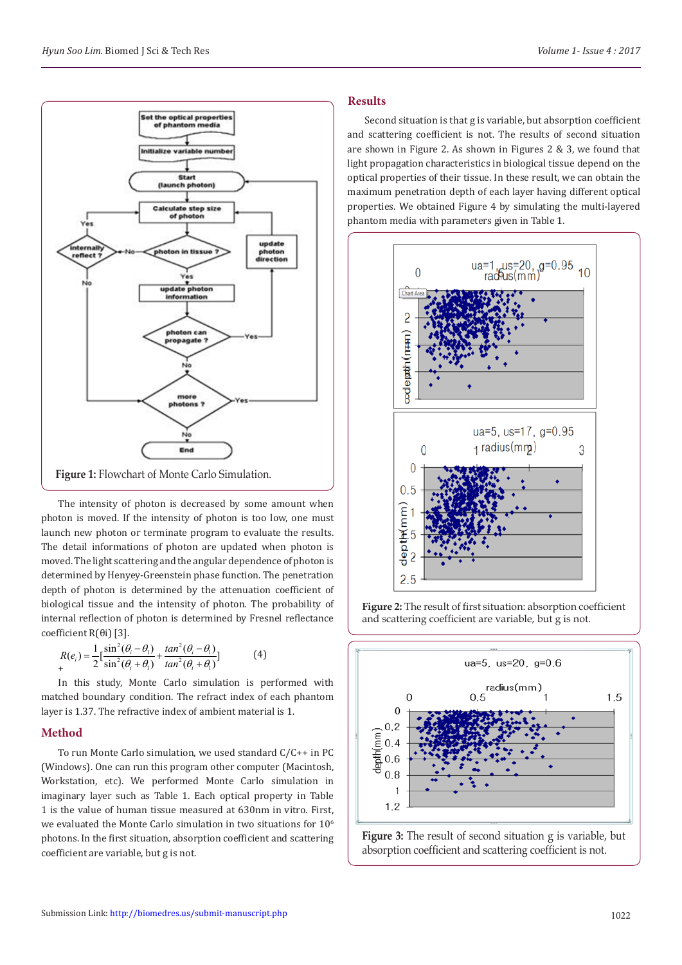

The intensity of photon is decreased by some amount when photon is moved. If the intensity of photon is too low, one must launch new photon or terminate program to evaluate the results. The detail informations of photon are updated when photon is moved. The light scattering and the angular dependence of photon is determined by Henyey-Greenstein phase function. The penetration depth of photon is determined by the attenuation coefficient of biological tissue and the intensity of photon. The probability of internal reflection of photon is determined by Fresnel reflectance coefficient R(θi) [3].

$$
R(e_i) = \frac{1}{2} \left[ \frac{\sin^2(\theta_i - \theta_1)}{\sin^2(\theta_i + \theta_1)} + \frac{\tan^2(\theta_i - \theta_1)}{\tan^2(\theta_i + \theta_1)} \right]
$$
(4)

In this study, Monte Carlo simulation is performed with matched boundary condition. The refract index of each phantom layer is 1.37. The refractive index of ambient material is 1.

# **Method**

To run Monte Carlo simulation, we used standard C/C++ in PC (Windows). One can run this program other computer (Macintosh, Workstation, etc). We performed Monte Carlo simulation in imaginary layer such as Table 1. Each optical property in Table 1 is the value of human tissue measured at 630nm in vitro. First, we evaluated the Monte Carlo simulation in two situations for  $10<sup>6</sup>$ photons. In the first situation, absorption coefficient and scattering coefficient are variable, but g is not.

## **Results**

Second situation is that g is variable, but absorption coefficient and scattering coefficient is not. The results of second situation are shown in Figure 2. As shown in Figures 2 & 3, we found that light propagation characteristics in biological tissue depend on the optical properties of their tissue. In these result, we can obtain the maximum penetration depth of each layer having different optical properties. We obtained Figure 4 by simulating the multi-layered phantom media with parameters given in Table 1.



**Figure 2:** The result of first situation: absorption coefficient and scattering coefficient are variable, but g is not.